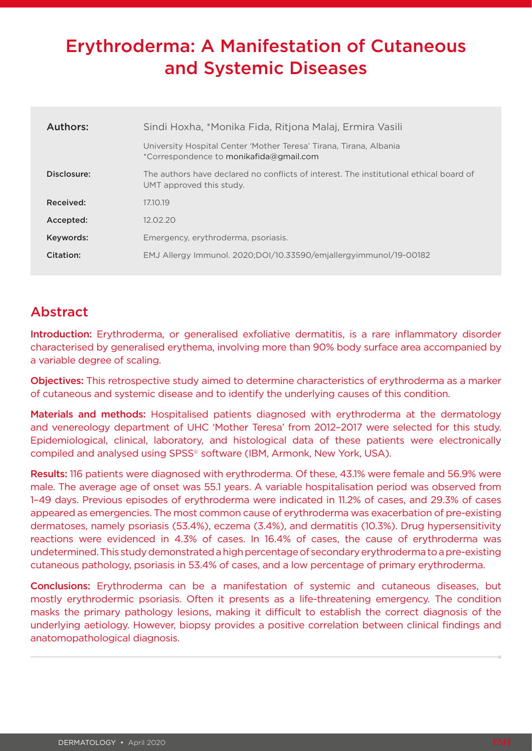# Erythroderma: A Manifestation of Cutaneous and Systemic Diseases

| Authors:    | Sindi Hoxha, *Monika Fida, Ritjona Malaj, Ermira Vasili                                                            |
|-------------|--------------------------------------------------------------------------------------------------------------------|
|             | University Hospital Center 'Mother Teresa' Tirana, Tirana, Albania<br>*Correspondence to monikafida@gmail.com      |
| Disclosure: | The authors have declared no conflicts of interest. The institutional ethical board of<br>UMT approved this study. |
| Received:   | 17.10.19                                                                                                           |
| Accepted:   | 12.02.20                                                                                                           |
| Keywords:   | Emergency, erythroderma, psoriasis.                                                                                |
| Citation:   | EMJ Allergy Immunol. 2020;DOI/10.33590/emjallergyimmunol/19-00182                                                  |
|             |                                                                                                                    |

## Abstract

Introduction: Erythroderma, or generalised exfoliative dermatitis, is a rare inflammatory disorder characterised by generalised erythema, involving more than 90% body surface area accompanied by a variable degree of scaling.

Objectives: This retrospective study aimed to determine characteristics of erythroderma as a marker of cutaneous and systemic disease and to identify the underlying causes of this condition.

Materials and methods: Hospitalised patients diagnosed with erythroderma at the dermatology and venereology department of UHC 'Mother Teresa' from 2012–2017 were selected for this study. Epidemiological, clinical, laboratory, and histological data of these patients were electronically compiled and analysed using SPSS<sup>®</sup> software (IBM, Armonk, New York, USA).

Results: 116 patients were diagnosed with erythroderma. Of these, 43.1% were female and 56.9% were male. The average age of onset was 55.1 years. A variable hospitalisation period was observed from 1–49 days. Previous episodes of erythroderma were indicated in 11.2% of cases, and 29.3% of cases appeared as emergencies. The most common cause of erythroderma was exacerbation of pre-existing dermatoses, namely psoriasis (53.4%), eczema (3.4%), and dermatitis (10.3%). Drug hypersensitivity reactions were evidenced in 4.3% of cases. In 16.4% of cases, the cause of erythroderma was undetermined. This study demonstrated a high percentage of secondary erythroderma to a pre-existing cutaneous pathology, psoriasis in 53.4% of cases, and a low percentage of primary erythroderma.

Conclusions: Erythroderma can be a manifestation of systemic and cutaneous diseases, but mostly erythrodermic psoriasis. Often it presents as a life-threatening emergency. The condition masks the primary pathology lesions, making it difficult to establish the correct diagnosis of the underlying aetiology. However, biopsy provides a positive correlation between clinical findings and anatomopathological diagnosis.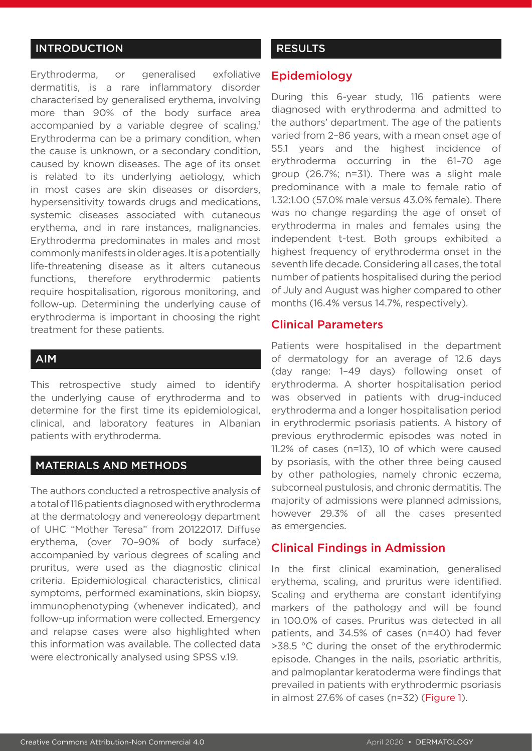### INTRODUCTION

Erythroderma, or generalised exfoliative dermatitis, is a rare inflammatory disorder characterised by generalised erythema, involving more than 90% of the body surface area accompanied by a variable degree of scaling.<sup>1</sup> Erythroderma can be a primary condition, when the cause is unknown, or a secondary condition, caused by known diseases. The age of its onset is related to its underlying aetiology, which in most cases are skin diseases or disorders, hypersensitivity towards drugs and medications, systemic diseases associated with cutaneous erythema, and in rare instances, malignancies. Erythroderma predominates in males and most commonly manifests in older ages. It is a potentially life-threatening disease as it alters cutaneous functions, therefore erythrodermic patients require hospitalisation, rigorous monitoring, and follow-up. Determining the underlying cause of erythroderma is important in choosing the right treatment for these patients.

#### AIM

This retrospective study aimed to identify the underlying cause of erythroderma and to determine for the first time its epidemiological, clinical, and laboratory features in Albanian patients with erythroderma.

#### MATERIALS AND METHODS

The authors conducted a retrospective analysis of a total of 116 patients diagnosed with erythroderma at the dermatology and venereology department of UHC "Mother Teresa" from 20122017. Diffuse erythema, (over 70–90% of body surface) accompanied by various degrees of scaling and pruritus, were used as the diagnostic clinical criteria. Epidemiological characteristics, clinical symptoms, performed examinations, skin biopsy, immunophenotyping (whenever indicated), and follow-up information were collected. Emergency and relapse cases were also highlighted when this information was available. The collected data were electronically analysed using SPSS v.19.

#### **RESULTS**

#### Epidemiology

During this 6-year study, 116 patients were diagnosed with erythroderma and admitted to the authors' department. The age of the patients varied from 2–86 years, with a mean onset age of 55.1 years and the highest incidence of erythroderma occurring in the 61–70 age group (26.7%; n=31). There was a slight male predominance with a male to female ratio of 1.32:1.00 (57.0% male versus 43.0% female). There was no change regarding the age of onset of erythroderma in males and females using the independent t-test. Both groups exhibited a highest frequency of erythroderma onset in the seventh life decade. Considering all cases, the total number of patients hospitalised during the period of July and August was higher compared to other months (16.4% versus 14.7%, respectively).

#### Clinical Parameters

Patients were hospitalised in the department of dermatology for an average of 12.6 days (day range: 1–49 days) following onset of erythroderma. A shorter hospitalisation period was observed in patients with drug-induced erythroderma and a longer hospitalisation period in erythrodermic psoriasis patients. A history of previous erythrodermic episodes was noted in 11.2% of cases (n=13), 10 of which were caused by psoriasis, with the other three being caused by other pathologies, namely chronic eczema, subcorneal pustulosis, and chronic dermatitis. The majority of admissions were planned admissions, however 29.3% of all the cases presented as emergencies.

#### Clinical Findings in Admission

In the first clinical examination, generalised erythema, scaling, and pruritus were identified. Scaling and erythema are constant identifying markers of the pathology and will be found in 100.0% of cases. Pruritus was detected in all patients, and 34.5% of cases (n=40) had fever >38.5 °C during the onset of the erythrodermic episode. Changes in the nails, psoriatic arthritis, and palmoplantar keratoderma were findings that prevailed in patients with erythrodermic psoriasis in almost 27.6% of cases (n=32) (Figure 1).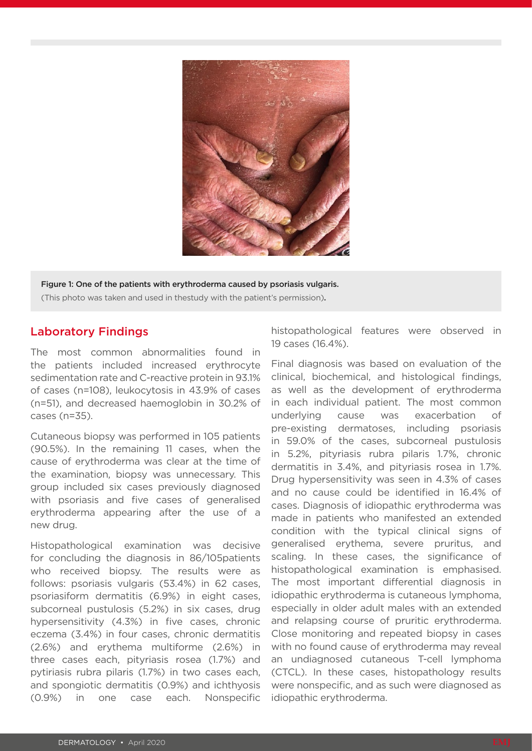

Figure 1: One of the patients with erythroderma caused by psoriasis vulgaris. (This photo was taken and used in thestudy with the patient's permission).

### Laboratory Findings

The most common abnormalities found in the patients included increased erythrocyte sedimentation rate and C-reactive protein in 93.1% of cases (n=108), leukocytosis in 43.9% of cases (n=51), and decreased haemoglobin in 30.2% of cases (n=35).

Cutaneous biopsy was performed in 105 patients (90.5%). In the remaining 11 cases, when the cause of erythroderma was clear at the time of the examination, biopsy was unnecessary. This group included six cases previously diagnosed with psoriasis and five cases of generalised erythroderma appearing after the use of a new drug.

Histopathological examination was decisive for concluding the diagnosis in 86/105patients who received biopsy. The results were as follows: psoriasis vulgaris (53.4%) in 62 cases, psoriasiform dermatitis (6.9%) in eight cases, subcorneal pustulosis (5.2%) in six cases, drug hypersensitivity (4.3%) in five cases, chronic eczema (3.4%) in four cases, chronic dermatitis (2.6%) and erythema multiforme (2.6%) in three cases each, pityriasis rosea (1.7%) and pytiriasis rubra pilaris (1.7%) in two cases each, and spongiotic dermatitis (0.9%) and ichthyosis (0.9%) in one case each. Nonspecific

histopathological features were observed in 19 cases (16.4%).

Final diagnosis was based on evaluation of the clinical, biochemical, and histological findings, as well as the development of erythroderma in each individual patient. The most common underlying cause was exacerbation of pre-existing dermatoses, including psoriasis in 59.0% of the cases, subcorneal pustulosis in 5.2%, pityriasis rubra pilaris 1.7%, chronic dermatitis in 3.4%, and pityriasis rosea in 1.7%. Drug hypersensitivity was seen in 4.3% of cases and no cause could be identified in 16.4% of cases. Diagnosis of idiopathic erythroderma was made in patients who manifested an extended condition with the typical clinical signs of generalised erythema, severe pruritus, and scaling. In these cases, the significance of histopathological examination is emphasised. The most important differential diagnosis in idiopathic erythroderma is cutaneous lymphoma, especially in older adult males with an extended and relapsing course of pruritic erythroderma. Close monitoring and repeated biopsy in cases with no found cause of erythroderma may reveal an undiagnosed cutaneous T-cell lymphoma (CTCL). In these cases, histopathology results were nonspecific, and as such were diagnosed as idiopathic erythroderma.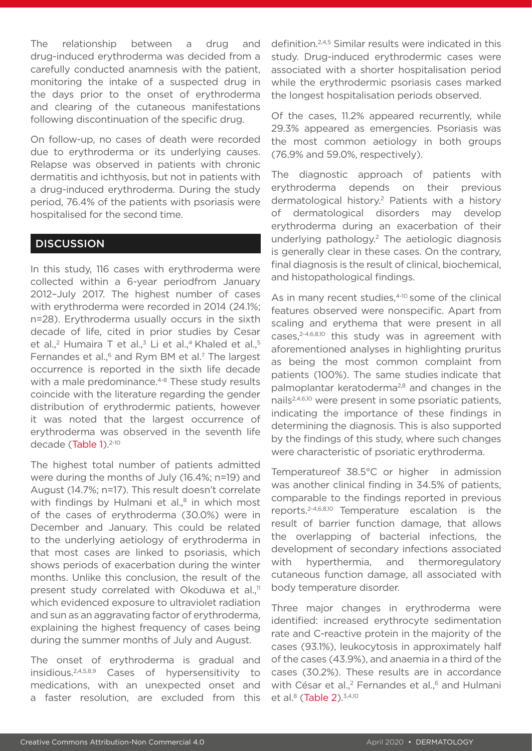The relationship between a drug and drug-induced erythroderma was decided from a carefully conducted anamnesis with the patient, monitoring the intake of a suspected drug in the days prior to the onset of erythroderma and clearing of the cutaneous manifestations following discontinuation of the specific drug.

On follow-up, no cases of death were recorded due to erythroderma or its underlying causes. Relapse was observed in patients with chronic dermatitis and ichthyosis, but not in patients with a drug-induced erythroderma. During the study period, 76.4% of the patients with psoriasis were hospitalised for the second time.

#### **DISCUSSION**

In this study, 116 cases with erythroderma were collected within a 6-year periodfrom January 2012–July 2017. The highest number of cases with erythroderma were recorded in 2014 (24.1%; n=28). Erythroderma usually occurs in the sixth decade of life, cited in prior studies by Cesar et al.,<sup>2</sup> Humaira T et al.,<sup>3</sup> Li et al.,<sup>4</sup> Khaled et al.,<sup>5</sup> Fernandes et al.,<sup>6</sup> and Rym BM et al.<sup>7</sup> The largest occurrence is reported in the sixth life decade with a male predominance.<sup>4-8</sup> These study results coincide with the literature regarding the gender distribution of erythrodermic patients, however it was noted that the largest occurrence of erythroderma was observed in the seventh life decade (Table 1).<sup>2-10</sup>

The highest total number of patients admitted were during the months of July (16.4%; n=19) and August (14.7%; n=17). This result doesn't correlate with findings by Hulmani et al.,<sup>8</sup> in which most of the cases of erythroderma (30.0%) were in December and January. This could be related to the underlying aetiology of erythroderma in that most cases are linked to psoriasis, which shows periods of exacerbation during the winter months. Unlike this conclusion, the result of the present study correlated with Okoduwa et al., $<sup>11</sup>$ </sup> which evidenced exposure to ultraviolet radiation and sun as an aggravating factor of erythroderma, explaining the highest frequency of cases being during the summer months of July and August.

The onset of erythroderma is gradual and insidious.2,4,5,8,9 Cases of hypersensitivity to medications, with an unexpected onset and a faster resolution, are excluded from this

definition.<sup>2,4,5</sup> Similar results were indicated in this study. Drug-induced erythrodermic cases were associated with a shorter hospitalisation period while the erythrodermic psoriasis cases marked the longest hospitalisation periods observed.

Of the cases, 11.2% appeared recurrently, while 29.3% appeared as emergencies. Psoriasis was the most common aetiology in both groups (76.9% and 59.0%, respectively).

The diagnostic approach of patients with erythroderma depends on their previous dermatological history.<sup>2</sup> Patients with a history of dermatological disorders may develop erythroderma during an exacerbation of their underlying pathology.2 The aetiologic diagnosis is generally clear in these cases. On the contrary, final diagnosis is the result of clinical, biochemical, and histopathological findings.

As in many recent studies.<sup>4-10</sup> some of the clinical features observed were nonspecific. Apart from scaling and erythema that were present in all cases,<sup>2-4,6,8,10</sup> this study was in agreement with aforementioned analyses in highlighting pruritus as being the most common complaint from patients (100%). The same studies indicate that palmoplantar keratoderma<sup>2,8</sup> and changes in the nails2,4,6,10 were present in some psoriatic patients, indicating the importance of these findings in determining the diagnosis. This is also supported by the findings of this study, where such changes were characteristic of psoriatic erythroderma.

Temperatureof 38.5°C or higher in admission was another clinical finding in 34.5% of patients, comparable to the findings reported in previous reports.2-4,6,8,10 Temperature escalation is the result of barrier function damage, that allows the overlapping of bacterial infections, the development of secondary infections associated with hyperthermia, and thermoregulatory cutaneous function damage, all associated with body temperature disorder.

Three major changes in erythroderma were identified: increased erythrocyte sedimentation rate and C-reactive protein in the majority of the cases (93.1%), leukocytosis in approximately half of the cases (43.9%), and anaemia in a third of the cases (30.2%). These results are in accordance with César et al.<sup>2</sup> Fernandes et al.<sup>6</sup> and Hulmani et al.<sup>8</sup> (Table 2).<sup>3,4,10</sup>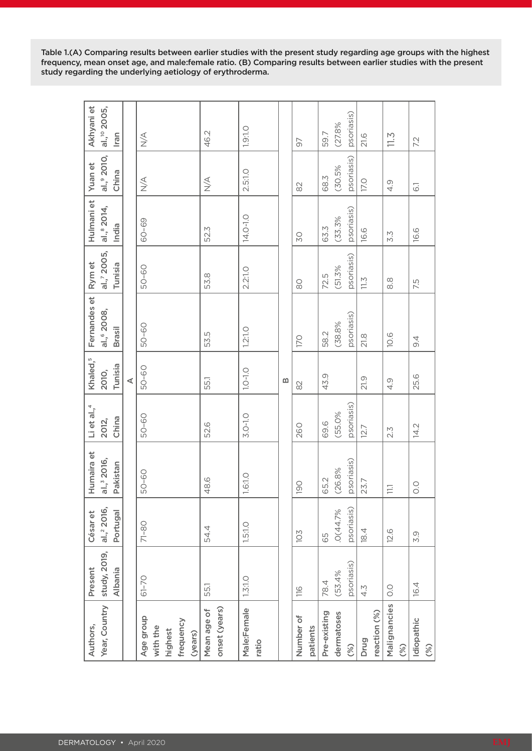Table 1.(A) Comparing results between earlier studies with the present study regarding age groups with the highest frequency, mean onset age, and male:female ratio. (B) Comparing results between earlier studies with the present study regarding the underlying aetiology of erythroderma.

| Year, Country<br>Authors,                                | study, 2019,<br>Present<br>Albania | al., <sup>2</sup> 2016,<br>César et | Humaira et<br>al., 3 2016,<br>Pakistan | Li et al., <sup>4</sup><br>China<br>2012, | Khaled, <sup>5</sup><br>Tunisia<br>2010, | Fernandes et<br>al., <sup>6</sup> 2008, | al.,7 2005,<br>Rym et | Hulmani et<br>al., <sup>8</sup> 2014,<br>India | al.,9 2010,<br>Yuan et      | Akhyani et<br>al., <sup>10</sup> 2005, |
|----------------------------------------------------------|------------------------------------|-------------------------------------|----------------------------------------|-------------------------------------------|------------------------------------------|-----------------------------------------|-----------------------|------------------------------------------------|-----------------------------|----------------------------------------|
|                                                          |                                    | Portugal                            |                                        |                                           | ⋖                                        | <b>Brasil</b>                           | Tunisia               |                                                | China                       | Iran                                   |
| Age group<br>frequency<br>with the<br>highest<br>(years) | $61 - 70$                          | $71 - 80$                           | 50-60                                  | 50-60                                     | 50-60                                    | 50-60                                   | 50-60                 | 60-69                                          | $\underset{\text{N}}{\leq}$ | $\underset{\text{Z}}{\leq}$            |
| onset (years)<br>Mean age of                             | 55.1                               | 54.4                                | 48.6                                   | 52.6                                      | 55.1                                     | 53.5                                    | 53.8                  | 52.3                                           | $\underset{\text{N}}{\leq}$ | 46.2                                   |
| Male:Female<br>ratio                                     | 1.3:1.0                            | 1.5:1.0                             | 1.6:1.0                                | $3.0 - 1.0$                               | $1.0 - 1.0$                              | 1.2:1.0                                 | 2.2:1.0               | 14.0-1.0                                       | 2.5:1.0                     | 1.9:1.0                                |
|                                                          |                                    |                                     |                                        |                                           | $\boldsymbol{\underline{\omega}}$        |                                         |                       |                                                |                             |                                        |
| Number of<br>patients                                    | 116                                | 103                                 | 190                                    | <b>260</b>                                | $\approx$                                | 170                                     | $\overline{8}$        | SO                                             | 82                          | 97                                     |
| Pre-existing                                             | 78.4                               | 65                                  | 65.2                                   | 69.6                                      | 43.9                                     | 58.2                                    | 72.5                  | 63.3                                           | 68.3                        | 59.7                                   |
| dermatoses<br>(%)                                        | psoriasis)<br>(53.4%               | psoriasis)<br>.0(44.7%              | psoriasis)<br>(26.8%                   | psoriasis)<br>(55.0%                      |                                          | psoriasis)<br>(38.8%                    | psoriasis)<br>(51.3%  | psoriasis)<br>(33.3%                           | psoriasis)<br>(30.5%        | psoriasis)<br>(27.8%                   |
| Drug                                                     | $4.\overline{5}$                   | 18.4                                | 23.7                                   | 12.7                                      | 21.9                                     | 21.8                                    | $\frac{1}{2}$         | 16.6                                           | <b>17.0</b>                 | 21.6                                   |
| reaction (%)                                             |                                    |                                     |                                        |                                           |                                          |                                         |                       |                                                |                             |                                        |
| Malignancies<br>(%)                                      | O.0                                | 12.6                                | $\Xi$                                  | 2.3                                       | 4.9                                      | 10.6                                    | $\frac{8}{8}$         | 5.3                                            | 4.9                         | 71.3                                   |
| Idiopathic<br>(%)                                        | 16.4                               | 3.9                                 | O.                                     | 14.2                                      | 25.6                                     | 9.4                                     | 7.5                   | 16.6                                           | $\overline{6}$              | 7.2                                    |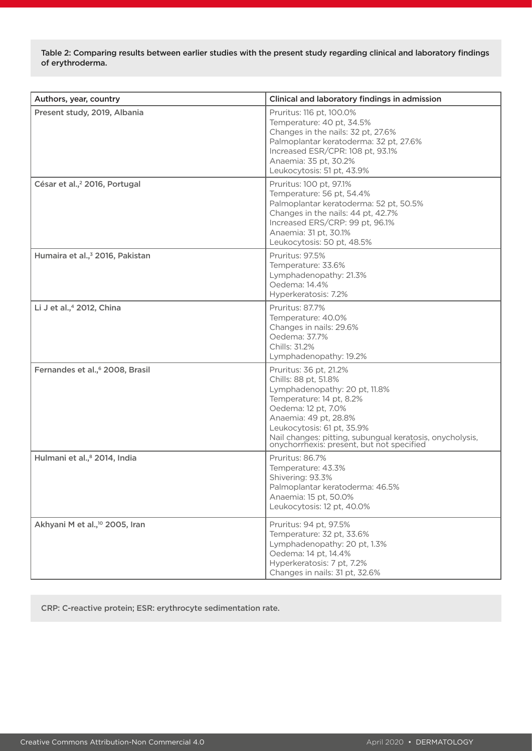Table 2: Comparing results between earlier studies with the present study regarding clinical and laboratory findings of erythroderma.

| Authors, year, country                      | Clinical and laboratory findings in admission                                                                                                                                                                                                                                                      |
|---------------------------------------------|----------------------------------------------------------------------------------------------------------------------------------------------------------------------------------------------------------------------------------------------------------------------------------------------------|
| Present study, 2019, Albania                | Pruritus: 116 pt, 100.0%<br>Temperature: 40 pt, 34.5%<br>Changes in the nails: 32 pt, 27.6%<br>Palmoplantar keratoderma: 32 pt, 27.6%<br>Increased ESR/CPR: 108 pt, 93.1%<br>Anaemia: 35 pt, 30.2%<br>Leukocytosis: 51 pt, 43.9%                                                                   |
| César et al., <sup>2</sup> 2016, Portugal   | Pruritus: 100 pt, 97.1%<br>Temperature: 56 pt, 54.4%<br>Palmoplantar keratoderma: 52 pt, 50.5%<br>Changes in the nails: 44 pt, 42.7%<br>Increased ERS/CRP: 99 pt, 96.1%<br>Anaemia: 31 pt, 30.1%<br>Leukocytosis: 50 pt, 48.5%                                                                     |
| Humaira et al., <sup>3</sup> 2016, Pakistan | Pruritus: 97.5%<br>Temperature: 33.6%<br>Lymphadenopathy: 21.3%<br>Oedema: 14.4%<br>Hyperkeratosis: 7.2%                                                                                                                                                                                           |
| Li J et al., <sup>4</sup> 2012, China       | Pruritus: 87.7%<br>Temperature: 40.0%<br>Changes in nails: 29.6%<br>Oedema: 37.7%<br>Chills: 31.2%<br>Lymphadenopathy: 19.2%                                                                                                                                                                       |
| Fernandes et al., <sup>6</sup> 2008, Brasil | Pruritus: 36 pt, 21.2%<br>Chills: 88 pt, 51.8%<br>Lymphadenopathy: 20 pt, 11.8%<br>Temperature: 14 pt, 8.2%<br>Oedema: 12 pt, 7.0%<br>Anaemia: 49 pt, 28.8%<br>Leukocytosis: 61 pt, 35.9%<br>Nail changes: pitting, subungual keratosis, onycholysis,<br>onychorrhexis: present, but not specified |
| Hulmani et al., <sup>8</sup> 2014, India    | Pruritus: 86.7%<br>Temperature: 43.3%<br>Shivering: 93.3%<br>Palmoplantar keratoderma: 46.5%<br>Anaemia: 15 pt, 50.0%<br>Leukocytosis: 12 pt, 40.0%                                                                                                                                                |
| Akhyani M et al., <sup>10</sup> 2005, Iran  | Pruritus: 94 pt, 97.5%<br>Temperature: 32 pt, 33.6%<br>Lymphadenopathy: 20 pt, 1.3%<br>Oedema: 14 pt, 14.4%<br>Hyperkeratosis: 7 pt, 7.2%<br>Changes in nails: 31 pt, 32.6%                                                                                                                        |

CRP: C-reactive protein; ESR: erythrocyte sedimentation rate.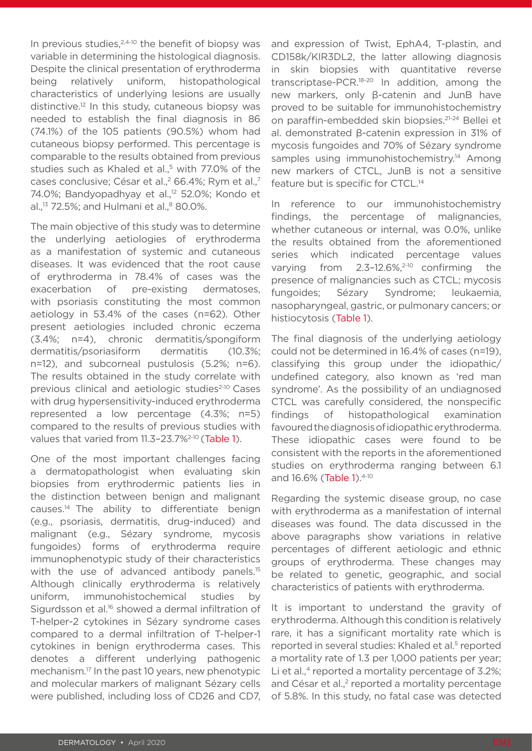In previous studies, $2,4-10$  the benefit of biopsy was variable in determining the histological diagnosis. Despite the clinical presentation of erythroderma being relatively uniform, histopathological characteristics of underlying lesions are usually distinctive.12 In this study, cutaneous biopsy was needed to establish the final diagnosis in 86 (74.1%) of the 105 patients (90.5%) whom had cutaneous biopsy performed. This percentage is comparable to the results obtained from previous studies such as Khaled et al.,<sup>5</sup> with 77.0% of the cases conclusive; César et al.,<sup>2</sup> 66.4%; Rym et al.,<sup>7</sup> 74.0%; Bandyopadhyay et al.,<sup>12</sup> 52.0%; Kondo et al.,<sup>13</sup> 72.5%; and Hulmani et al.,<sup>8</sup> 80.0%.

The main objective of this study was to determine the underlying aetiologies of erythroderma as a manifestation of systemic and cutaneous diseases. It was evidenced that the root cause of erythroderma in 78.4% of cases was the exacerbation of pre-existing dermatoses, with psoriasis constituting the most common aetiology in 53.4% of the cases (n=62). Other present aetiologies included chronic eczema (3.4%; n=4), chronic dermatitis/spongiform dermatitis/psoriasiform dermatitis (10.3%; n=12), and subcorneal pustulosis (5.2%; n=6). The results obtained in the study correlate with previous clinical and aetiologic studies<sup>2-10</sup> Cases with drug hypersensitivity-induced erythroderma represented a low percentage (4.3%; n=5) compared to the results of previous studies with values that varied from 11.3-23.7%<sup>2-10</sup> (Table 1).

One of the most important challenges facing a dermatopathologist when evaluating skin biopsies from erythrodermic patients lies in the distinction between benign and malignant causes.14 The ability to differentiate benign (e.g., psoriasis, dermatitis, drug-induced) and malignant (e.g., Sézary syndrome, mycosis fungoides) forms of erythroderma require immunophenotypic study of their characteristics with the use of advanced antibody panels.<sup>15</sup> Although clinically erythroderma is relatively uniform, immunohistochemical studies by Sigurdsson et al.<sup>16</sup> showed a dermal infiltration of T-helper-2 cytokines in Sézary syndrome cases compared to a dermal infiltration of T-helper-1 cytokines in benign erythroderma cases. This denotes a different underlying pathogenic mechanism.17 In the past 10 years, new phenotypic and molecular markers of malignant Sézary cells were published, including loss of CD26 and CD7,

and expression of Twist, EphA4, T-plastin, and CD158k/KIR3DL2, the latter allowing diagnosis in skin biopsies with quantitative reverse transcriptase-PCR.18-20 In addition, among the new markers, only β-catenin and JunB have proved to be suitable for immunohistochemistry on paraffin-embedded skin biopsies.21-24 Bellei et al. demonstrated β-catenin expression in 31% of mycosis fungoides and 70% of Sézary syndrome samples using immunohistochemistry.<sup>14</sup> Among new markers of CTCL, JunB is not a sensitive feature but is specific for CTCL.<sup>14</sup>

In reference to our immunohistochemistry findings, the percentage of malignancies, whether cutaneous or internal, was 0.0%, unlike the results obtained from the aforementioned series which indicated percentage values varying from  $2.3$ -12.6%,<sup>2-10</sup> confirming the presence of malignancies such as CTCL; mycosis fungoides; Sézary Syndrome; leukaemia, nasopharyngeal, gastric, or pulmonary cancers; or histiocytosis (Table 1).

The final diagnosis of the underlying aetiology could not be determined in 16.4% of cases (n=19), classifying this group under the idiopathic/ undefined category, also known as 'red man syndrome'. As the possibility of an undiagnosed CTCL was carefully considered, the nonspecific findings of histopathological examination favoured the diagnosis of idiopathic erythroderma. These idiopathic cases were found to be consistent with the reports in the aforementioned studies on erythroderma ranging between 6.1 and 16.6% (Table 1).<sup>4-10</sup>

Regarding the systemic disease group, no case with erythroderma as a manifestation of internal diseases was found. The data discussed in the above paragraphs show variations in relative percentages of different aetiologic and ethnic groups of erythroderma. These changes may be related to genetic, geographic, and social characteristics of patients with erythroderma.

It is important to understand the gravity of erythroderma. Although this condition is relatively rare, it has a significant mortality rate which is reported in several studies: Khaled et al.<sup>5</sup> reported a mortality rate of 1.3 per 1,000 patients per year; Li et al.,<sup>4</sup> reported a mortality percentage of 3.2%; and César et al.,<sup>2</sup> reported a mortality percentage of 5.8%. In this study, no fatal case was detected